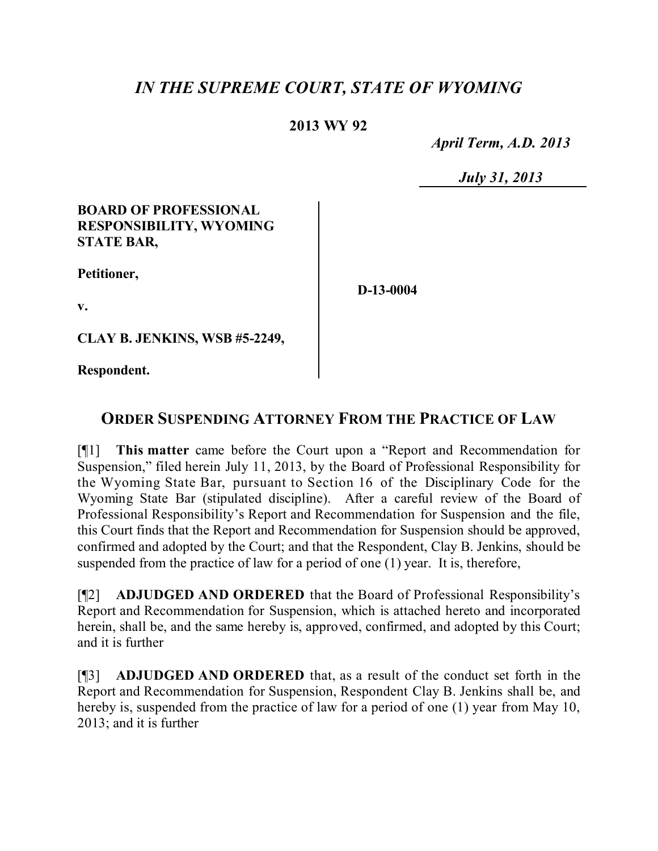# *IN THE SUPREME COURT, STATE OF WYOMING*

### **2013 WY 92**

 *April Term, A.D. 2013*

 *July 31, 2013*

#### **BOARD OF PROFESSIONAL RESPONSIBILITY, WYOMING STATE BAR,**

**Petitioner,**

**D-13-0004**

**v.**

**CLAY B. JENKINS, WSB #5-2249,**

**Respondent.**

## **ORDER SUSPENDING ATTORNEY FROM THE PRACTICE OF LAW**

[¶1] **This matter** came before the Court upon a "Report and Recommendation for Suspension," filed herein July 11, 2013, by the Board of Professional Responsibility for the Wyoming State Bar, pursuant to Section 16 of the Disciplinary Code for the Wyoming State Bar (stipulated discipline). After a careful review of the Board of Professional Responsibility's Report and Recommendation for Suspension and the file, this Court finds that the Report and Recommendation for Suspension should be approved, confirmed and adopted by the Court; and that the Respondent, Clay B. Jenkins, should be suspended from the practice of law for a period of one (1) year. It is, therefore,

[¶2] **ADJUDGED AND ORDERED** that the Board of Professional Responsibility's Report and Recommendation for Suspension, which is attached hereto and incorporated herein, shall be, and the same hereby is, approved, confirmed, and adopted by this Court; and it is further

[¶3] **ADJUDGED AND ORDERED** that, as a result of the conduct set forth in the Report and Recommendation for Suspension, Respondent Clay B. Jenkins shall be, and hereby is, suspended from the practice of law for a period of one (1) year from May 10, 2013; and it is further